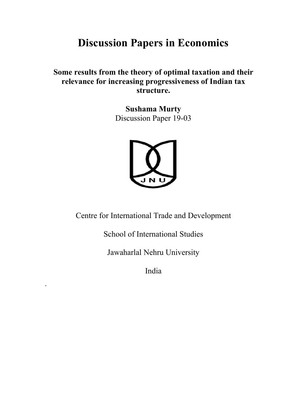# **Discussion Papers in Economics**

# **Some results from the theory of optimal taxation and their relevance for increasing progressiveness of Indian tax structure.**

**Sushama Murty**  Discussion Paper 19-03



Centre for International Trade and Development

School of International Studies

Jawaharlal Nehru University

India

\*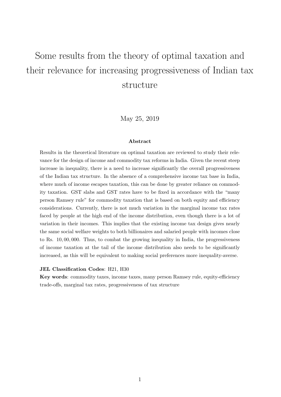# <span id="page-1-0"></span>Some results from the theory of optimal taxation and their relevance for increasing progressiveness of Indian tax structure

May 25, 2019

#### Abstract

Results in the theoretical literature on optimal taxation are reviewed to study their relevance for the design of income and commodity tax reforms in India. Given the recent steep increase in inequality, there is a need to increase significantly the overall progressiveness of the Indian tax structure. In the absence of a comprehensive income tax base in India, where much of income escapes taxation, this can be done by greater reliance on commodity taxation. GST slabs and GST rates have to be fixed in accordance with the "many person Ramsey rule" for commodity taxation that is based on both equity and efficiency considerations. Currently, there is not much variation in the marginal income tax rates faced by people at the high end of the income distribution, even though there is a lot of variation in their incomes. This implies that the existing income tax design gives nearly the same social welfare weights to both billionaires and salaried people with incomes close to Rs. 10, 00, 000. Thus, to combat the growing inequality in India, the progressiveness of income taxation at the tail of the income distribution also needs to be significantly increased, as this will be equivalent to making social preferences more inequality-averse.

#### JEL Classification Codes: H21, H30

Key words: commodity taxes, income taxes, many person Ramsey rule, equity-efficiency trade-offs, marginal tax rates, progressiveness of tax structure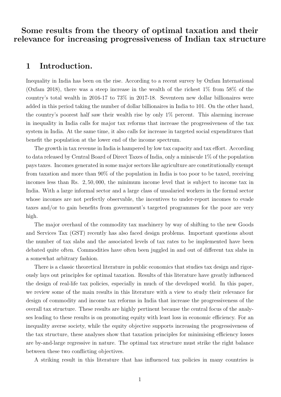Some results from the theory of optimal taxation and their relevance for increasing progressiveness of Indian tax structure

## 1 Introduction.

Inequality in India has been on the rise. According to a recent survey by Oxfam International (Oxfam 2018), there was a steep increase in the wealth of the richest 1% from 58% of the country's total wealth in 2016-17 to 73% in 2017-18. Seventeen new dollar billionaires were added in this period taking the number of dollar billionaires in India to 101. On the other hand, the country's poorest half saw their wealth rise by only 1% percent. This alarming increase in inequality in India calls for major tax reforms that increase the progressiveness of the tax system in India. At the same time, it also calls for increase in targeted social expenditures that benefit the population at the lower end of the income spectrum.

The growth in tax revenue in India is hampered by low tax capacity and tax effort. According to data released by Central Board of Direct Taxes of India, only a miniscule 1% of the population pays taxes. Incomes generated in some major sectors like agriculture are constitutionally exempt from taxation and more than 90% of the population in India is too poor to be taxed, receiving incomes less than Rs. 2, 50, 000, the minimum income level that is subject to income tax in India. With a large informal sector and a large class of unsalaried workers in the formal sector whose incomes are not perfectly observable, the incentives to under-report incomes to evade taxes and/or to gain benefits from government's targeted programmes for the poor are very high.

The major overhaul of the commodity tax machinery by way of shifting to the new Goods and Services Tax (GST) recently has also faced design problems. Important questions about the number of tax slabs and the associated levels of tax rates to be implemented have been debated quite often. Commodities have often been juggled in and out of different tax slabs in a somewhat arbitrary fashion.

There is a classic theoretical literature in public economics that studies tax design and rigorously lays out principles for optimal taxation. Results of this literature have greatly influenced the design of real-life tax policies, especially in much of the developed world. In this paper, we review some of the main results in this literature with a view to study their relevance for design of commodity and income tax reforms in India that increase the progressiveness of the overall tax structure. These results are highly pertinent because the central focus of the analyses leading to these results is on promoting equity with least loss in economic efficiency. For an inequality averse society, while the equity objective supports increasing the progressiveness of the tax structure, these analyses show that taxation principles for minimising efficiency losses are by-and-large regressive in nature. The optimal tax structure must strike the right balance between these two conflicting objectives.

A striking result in this literature that has influenced tax policies in many countries is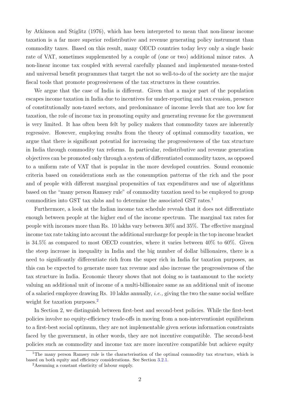by Atkinson and Stiglitz (1976), which has been interpreted to mean that non-linear income taxation is a far more superior redistributive and revenue generating policy instrument than commodity taxes. Based on this result, many OECD countries today levy only a single basic rate of VAT, sometimes supplemented by a couple of (one or two) additional minor rates. A non-linear income tax coupled with several carefully planned and implemented means-tested and universal benefit programmes that target the not so well-to-do of the society are the major fiscal tools that promote progressiveness of the tax structures in these countries.

We argue that the case of India is different. Given that a major part of the population escapes income taxation in India due to incentives for under-reporting and tax evasion, presence of constitutionally non-taxed sectors, and predominance of income levels that are too low for taxation, the role of income tax in promoting equity and generating revenue for the government is very limited. It has often been felt by policy makers that commodity taxes are inherently regressive. However, employing results from the theory of optimal commodity taxation, we argue that there is significant potential for increasing the progressiveness of the tax structure in India through commodity tax reforms. In particular, redistributive and revenue generation objectives can be promoted only through a system of differentiated commodity taxes, as opposed to a uniform rate of VAT that is popular in the more developed countries. Sound economic criteria based on considerations such as the consumption patterns of the rich and the poor and of people with different marginal propensities of tax expenditures and use of algorithms based on the "many person Ramsey rule" of commodity taxation need to be employed to group commodities into GST tax slabs and to determine the associated GST rates.[1](#page-1-0)

Furthermore, a look at the Indian income tax schedule reveals that it does not differentiate enough between people at the higher end of the income spectrum. The marginal tax rates for people with incomes more than Rs. 10 lakhs vary between 30% and 35%. The effective marginal income tax rate taking into account the additional surcharge for people in the top income bracket is 34.5% as compared to most OECD countries, where it varies between 40% to 60%. Given the steep increase in inequality in India and the big number of dollar billionaires, there is a need to significantly differentiate rich from the super rich in India for taxation purposes, as this can be expected to generate more tax revenue and also increase the progressiveness of the tax structure in India. Economic theory shows that not doing so is tantamount to the society valuing an additional unit of income of a multi-billionaire same as an additional unit of income of a salaried employee drawing Rs. 10 lakhs annually, *i.e.*, giving the two the same social welfare weight for taxation purposes.<sup>[2](#page-1-0)</sup>

In Section 2, we distinguish between first-best and second-best policies. While the first-best policies involve no equity-efficiency trade-offs in moving from a non-interventionist equilibrium to a first-best social optimum, they are not implementable given serious information constraints faced by the government, in other words, they are not incentive compatible. The second-best policies such as commodity and income tax are more incentive compatible but achieve equity

<sup>&</sup>lt;sup>1</sup>The many person Ramsey rule is the characterisation of the optimal commodity tax structure, which is based on both equity and efficiency considerations. See Section [3.2.1.](#page-9-0)

<sup>2</sup>Assuming a constant elasticity of labour supply.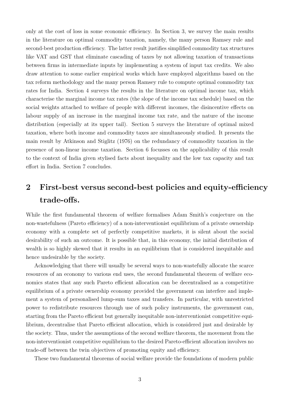only at the cost of loss in some economic efficiency. In Section 3, we survey the main results in the literature on optimal commodity taxation, namely, the many person Ramsey rule and second-best production efficiency. The latter result justifies simplified commodity tax structures like VAT and GST that eliminate cascading of taxes by not allowing taxation of transactions between firms in intermediate inputs by implementing a system of input tax credits. We also draw attention to some earlier empirical works which have employed algorithms based on the tax reform methodology and the many person Ramsey rule to compute optimal commodity tax rates for India. Section 4 surveys the results in the literature on optimal income tax, which characterise the marginal income tax rates (the slope of the income tax schedule) based on the social weights attached to welfare of people with different incomes, the disincentive effects on labour supply of an increase in the marginal income tax rate, and the nature of the income distribution (especially at its upper tail). Section 5 surveys the literature of optimal mixed taxation, where both income and commodity taxes are simultaneously studied. It presents the main result by Atkinson and Stiglitz (1976) on the redundancy of commodity taxation in the presence of non-linear income taxation. Section 6 focusses on the applicability of this result to the context of India given stylised facts about inequality and the low tax capacity and tax effort in India. Section 7 concludes.

# 2 First-best versus second-best policies and equity-efficiency trade-offs.

While the first fundamental theorem of welfare formalises Adam Smith's conjecture on the non-wastefulness (Pareto efficiency) of a non-interventionist equilibrium of a private ownership economy with a complete set of perfectly competitive markets, it is silent about the social desirability of such an outcome. It is possible that, in this economy, the initial distribution of wealth is so highly skewed that it results in an equilibrium that is considered inequitable and hence undesirable by the society.

Acknowledging that there will usually be several ways to non-wastefully allocate the scarce resources of an economy to various end uses, the second fundamental theorem of welfare economics states that any such Pareto efficient allocation can be decentralised as a competitive equilibrium of a private ownership economy provided the government can interfere and implement a system of personalised lump-sum taxes and transfers. In particular, with unrestricted power to redistribute resources through use of such policy instruments, the government can, starting from the Pareto efficient but generally inequitable non-interventionist competitive equilibrium, decentralise that Pareto efficient allocation, which is considered just and desirable by the society. Thus, under the assumptions of the second welfare theorem, the movement from the non-interventionist competitive equilibrium to the desired Pareto-efficient allocation involves no trade-off between the twin objectives of promoting equity and efficiency.

These two fundamental theorems of social welfare provide the foundations of modern public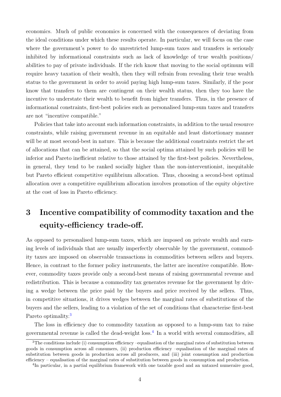economics. Much of public economics is concerned with the consequences of deviating from the ideal conditions under which these results operate. In particular, we will focus on the case where the government's power to do unrestricted lump-sum taxes and transfers is seriously inhibited by informational constraints such as lack of knowledge of true wealth positions/ abilities to pay of private individuals. If the rich know that moving to the social optimum will require heavy taxation of their wealth, then they will refrain from revealing their true wealth status to the government in order to avoid paying high lump-sum taxes. Similarly, if the poor know that transfers to them are contingent on their wealth status, then they too have the incentive to understate their wealth to benefit from higher transfers. Thus, in the presence of informational constraints, first-best policies such as personalised lump-sum taxes and transfers are not "incentive compatible."

Policies that take into account such information constraints, in addition to the usual resource constraints, while raising government revenue in an equitable and least distortionary manner will be at most second-best in nature. This is because the additional constraints restrict the set of allocations that can be attained, so that the social optima attained by such policies will be inferior and Pareto inefficient relative to those attained by the first-best policies. Nevertheless, in general, they tend to be ranked socially higher than the non-interventionist, inequitable but Pareto efficient competitive equilibrium allocation. Thus, choosing a second-best optimal allocation over a competitive equilibrium allocation involves promotion of the equity objective at the cost of loss in Pareto efficiency.

# 3 Incentive compatibility of commodity taxation and the equity-efficiency trade-off.

As opposed to personalised lump-sum taxes, which are imposed on private wealth and earning levels of individuals that are usually imperfectly observable by the government, commodity taxes are imposed on observable transactions in commodities between sellers and buyers. Hence, in contrast to the former policy instruments, the latter are incentive compatible. However, commodity taxes provide only a second-best means of raising governmental revenue and redistribution. This is because a commodity tax generates revenue for the government by driving a wedge between the price paid by the buyers and price received by the sellers. Thus, in competitive situations, it drives wedges between the marginal rates of substitutions of the buyers and the sellers, leading to a violation of the set of conditions that characterise first-best Pareto optimality.<sup>[3](#page-1-0)</sup>

The loss in efficiency due to commodity taxation as opposed to a lump-sum tax to raise governmental revenue is called the dead-weight loss.[4](#page-1-0) In a world with several commodities, all

<sup>&</sup>lt;sup>3</sup>The conditions include (i) consumption efficiency –equalisation of the marginal rates of substitution between goods in consumption across all consumers, (ii) production efficiency –equalisation of the marginal rates of substitution between goods in production across all producers, and (iii) joint consumption and production efficiency – equalisation of the marginal rates of substitution between goods in consumption and production.

<sup>&</sup>lt;sup>4</sup>In particular, in a partial equilibrium framework with one taxable good and an untaxed numeraire good,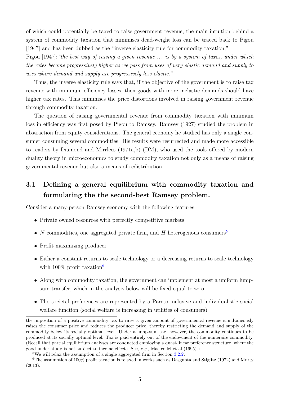of which could potentially be taxed to raise government revenue, the main intuition behind a system of commodity taxation that minimises dead-weight loss can be traced back to Pigou [1947] and has been dubbed as the "inverse elasticity rule for commodity taxation,"

Pigou [1947]: "the best way of raising a given revenue ... is by a system of taxes, under which the rates become progressively higher as we pass from uses of very elastic demand and supply to uses where demand and supply are progressively less elastic."

Thus, the inverse elasticity rule says that, if the objective of the government is to raise tax revenue with minimum efficiency losses, then goods with more inelastic demands should have higher tax rates. This minimises the price distortions involved in raising government revenue through commodity taxation.

The question of raising governmental revenue from commodity taxation with minimum loss in efficiency was first posed by Pigou to Ramsey. Ramsey (1927) studied the problem in abstraction from equity considerations. The general economy he studied has only a single consumer consuming several commodities. His results were resurrected and made more accessible to readers by Diamond and Mirrlees (1971a,b) (DM), who used the tools offered by modern duality theory in microeconomics to study commodity taxation not only as a means of raising governmental revenue but also a means of redistribution.

# 3.1 Defining a general equilibrium with commodity taxation and formulating the the second-best Ramsey problem.

Consider a many-person Ramsey economy with the following features:

- Private owned resources with perfectly competitive markets
- N commodities, one aggregated private firm, and  $H$  heterogenous consumers<sup>[5](#page-1-0)</sup>
- Profit maximizing producer
- Either a constant returns to scale technology or a decreasing returns to scale technology with  $100\%$  profit taxation<sup>[6](#page-1-0)</sup>
- Along with commodity taxation, the government can implement at most a uniform lumpsum transfer, which in the analysis below will be fixed equal to zero
- The societal preferences are represented by a Pareto inclusive and individualistic social welfare function (social welfare is increasing in utilities of consumers)

the imposition of a positive commodity tax to raise a given amount of governmental revenue simultaneously raises the consumer price and reduces the producer price, thereby restricting the demand and supply of the commodity below its socially optimal level. Under a lump-sum tax, however, the commodity continues to be produced at its socially optimal level. Tax is paid entirely out of the endowment of the numeraire commodity. (Recall that partial equilibrium analyses are conducted employing a quasi-linear preference structure, where the good under study is not subject to income effects. See, e.g., Mas-collel et al (1995).)

<sup>5</sup>We will relax the assumption of a single aggregated firm in Section [3.2.2.](#page-12-0)

<sup>&</sup>lt;sup>6</sup>The assumption of 100% profit taxation is relaxed in works such as Dasgupta and Stiglitz (1972) and Murty (2013).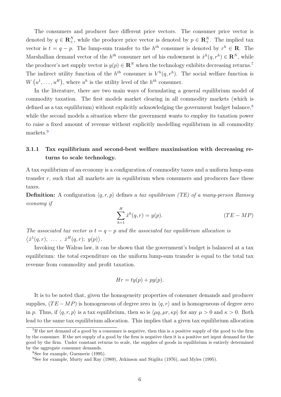The consumers and producer face different price vectors. The consumer price vector is denoted by  $q \in \mathbb{R}^N_+$ , while the producer price vector is denoted by  $p \in \mathbb{R}^N_+$ . The implied tax vector is  $t = q - p$ . The lump-sum transfer to the  $h^{th}$  consumer is denoted by  $r^h \in \mathbb{R}$ . The Marshallian demand vector of the  $h^{th}$  consumer net of his endowment is  $\hat{x}^h(q, r^h) \in \mathbb{R}^N$ , while the producer's net supply vector is  $y(p) \in \mathbb{R}^N$  when the technology exhibits decreasing returns.<sup>[7](#page-1-0)</sup> The indirect utility function of the  $h^{th}$  consumer is  $V^h(q, r^h)$ . The social welfare function is  $W(u^1, \ldots, u^H)$ , where  $u^h$  is the utility level of the  $h^{th}$  consumer.

In the literature, there are two main ways of formulating a general equilibrium model of commodity taxation. The first models market clearing in all commodity markets (which is defined as a tax equilibrium) without explicitly acknowledging the government budget balance,<sup>[8](#page-1-0)</sup> while the second models a situation where the government wants to employ its taxation power to raise a fixed amount of revenue without explicitly modelling equilibrium in all commodity markets.<sup>[9](#page-1-0)</sup>

## <span id="page-7-0"></span>3.1.1 Tax equilibrium and second-best welfare maximisation with decreasing returns to scale technology.

A tax equilibrium of an economy is a configuration of commodity taxes and a uniform lump-sum transfer  $r$ , such that all markets are in equilibrium when consumers and producers face these taxes.

**Definition:** A configuration  $\langle q, r, p \rangle$  defines a tax equilibrium (TE) of a many-person Ramsey economy if

$$
\sum_{h=1}^{H} \hat{x}^h(q, r) = y(p). \qquad (TE - MP)
$$

The associated tax vector is  $t = q - p$  and the associated tax equilibrium allocation is  $\langle \hat{x}^1(q,r), \ldots, \hat{x}^H(q,r); y(p) \rangle.$ 

Invoking the Walras law, it can be shown that the government's budget is balanced at a tax equilibrium: the total expenditure on the uniform lump-sum transfer is equal to the total tax revenue from commodity and profit taxation.

$$
Hr = ty(p) + py(p).
$$

It is to be noted that, given the homogeneity properties of consumer demands and producer supplies,  $(TE-MP)$  is homogeneous of degree zero in  $\langle q, r \rangle$  and is homogeneous of degree zero in p. Thus, if  $\langle q, r, p \rangle$  is a tax equilibrium, then so is  $\langle \mu q, \mu r, \kappa p \rangle$  for any  $\mu > 0$  and  $\kappa > 0$ . Both lead to the same tax equilibrium allocation. This implies that a given tax equilibrium allocation

<sup>&</sup>lt;sup>7</sup>If the net demand of a good by a consumer is negative, then this is a positive supply of the good to the firm by the consumer. If the net supply of a good by the firm is negative then it is a positive net input demand for the good by the firm. Under constant returns to scale, the supplies of goods in equilibrium is entirely determined by the aggregate consumer demands.

<sup>8</sup>See for example, Guesnerie (1995).

<sup>9</sup>See for example, Murty and Ray (1989), Atkinson and Stiglitz (1976), and Myles (1995).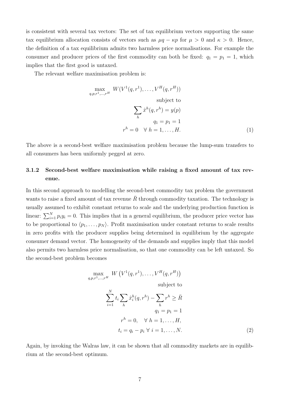is consistent with several tax vectors: The set of tax equilibrium vectors supporting the same tax equilibrium allocation consists of vectors such as  $\mu q - \kappa p$  for  $\mu > 0$  and  $\kappa > 0$ . Hence, the definition of a tax equilibrium admits two harmless price normalisations. For example the consumer and producer prices of the first commodity can both be fixed:  $q_1 = p_1 = 1$ , which implies that the first good is untaxed.

The relevant welfare maximisation problem is:

 $q, p$ 

<span id="page-8-0"></span>
$$
\max_{q,p,r^1,\ldots,r^H} W(V^1(q,r^1),\ldots,V^H(q,r^H))
$$
\nsubject to\n
$$
\sum_h \hat{x}^h(q,r^h) = y(p)
$$
\n
$$
q_1 = p_1 = 1
$$
\n
$$
r^h = 0 \quad \forall \ h = 1,\ldots,H.
$$
\n(1)

The above is a second-best welfare maximisation problem because the lump-sum transfers to all consumers has been uniformly pegged at zero.

## 3.1.2 Second-best welfare maximisation while raising a fixed amount of tax revenue.

In this second approach to modelling the second-best commodity tax problem the government wants to raise a fixed amount of tax revenue  $\overline{R}$  through commodity taxation. The technology is usually assumed to exhibit constant returns to scale and the underlying production function is linear:  $\sum_{i=1}^{N} p_i y_i = 0$ . This implies that in a general equilibrium, the producer price vector has to be proportional to  $\langle p_1, \ldots, p_N \rangle$ . Profit maximisation under constant returns to scale results in zero profits with the producer supplies being determined in equilibrium by the aggregate consumer demand vector. The homogeneity of the demands and supplies imply that this model also permits two harmless price normalisation, so that one commodity can be left untaxed. So the second-best problem becomes

<span id="page-8-1"></span>
$$
\max_{p,n+1,\ldots,r} W\left(V^1(q,r^1),\ldots,V^H(q,r^H)\right)
$$
\nsubject to\n
$$
\sum_{i=1}^N t_i \sum_h \hat{x}_i^h(q,r^h) - \sum_h r^h \ge \bar{R}
$$
\n
$$
q_1 = p_1 = 1
$$
\n
$$
r^h = 0, \quad \forall \ h = 1,\ldots,H,
$$
\n
$$
t_i = q_i - p_i \ \forall \ i = 1,\ldots,N.
$$
\n(2)

Again, by invoking the Walras law, it can be shown that all commodity markets are in equilibrium at the second-best optimum.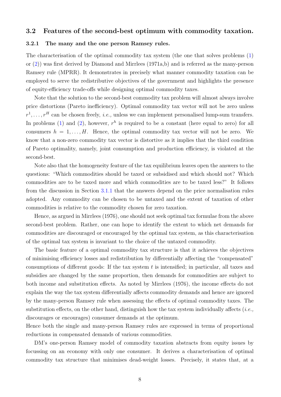### 3.2 Features of the second-best optimum with commodity taxation.

### <span id="page-9-0"></span>3.2.1 The many and the one person Ramsey rules.

The characterisation of the optimal commodity tax system (the one that solves problems [\(1\)](#page-8-0) or [\(2\)](#page-8-1)) was first derived by Diamond and Mirrlees (1971a,b) and is referred as the many-person Ramsey rule (MPRR). It demonstrates in precisely what manner commodity taxation can be employed to serve the redistributive objectives of the government and highlights the presence of equity-efficiency trade-offs while designing optimal commodity taxes.

Note that the solution to the second-best commodity tax problem will almost always involve price distortions (Pareto inefficiency). Optimal commodity tax vector will not be zero unless  $r^1, \ldots, r^H$  can be chosen freely, *i.e.*, unless we can implement personalised lump-sum transfers. In problems [\(1\)](#page-8-0) and [\(2\)](#page-8-1), however,  $r^h$  is required to be a constant (here equal to zero) for all consumers  $h = 1, \ldots, H$ . Hence, the optimal commodity tax vector will not be zero. We know that a non-zero commodity tax vector is distortive as it implies that the third condition of Pareto optimality, namely, joint consumption and production efficiency, is violated at the second-best.

Note also that the homogeneity feature of the tax equilibrium leaves open the answers to the questions: "Which commodities should be taxed or subsidised and which should not? Which commodities are to be taxed more and which commodities are to be taxed less?" It follows from the discussion in Section [3.1.1](#page-7-0) that the answers depend on the price normalisation rules adopted. Any commodity can be chosen to be untaxed and the extent of taxation of other commodities is relative to the commodity chosen for zero taxation.

Hence, as argued in Mirrlees (1976), one should not seek optimal tax formulae from the above second-best problem. Rather, one can hope to identify the extent to which net demands for commodities are discouraged or encouraged by the optimal tax system, as this characterisation of the optimal tax system is invariant to the choice of the untaxed commodity.

The basic feature of a optimal commodity tax structure is that it achieves the objectives of minimising efficiency losses and redistribution by differentially affecting the "compensated" consumptions of different goods: If the tax system  $t$  is intensified; in particular, all taxes and subsidies are changed by the same proportion, then demands for commodities are subject to both income and substitution effects. As noted by Mirrlees (1976), the income effects do not explain the way the tax system differentially affects commodity demands and hence are ignored by the many-person Ramsey rule when assessing the effects of optimal commodity taxes. The substitution effects, on the other hand, distinguish how the tax system individually affects (*i.e.*, discourages or encourages) consumer demands at the optimum.

Hence both the single and many-person Ramsey rules are expressed in terms of proportional reductions in compensated demands of various commodities.

DM's one-person Ramsey model of commodity taxation abstracts from equity issues by focussing on an economy with only one consumer. It derives a characterisation of optimal commodity tax structure that minimises dead-weight losses. Precisely, it states that, at a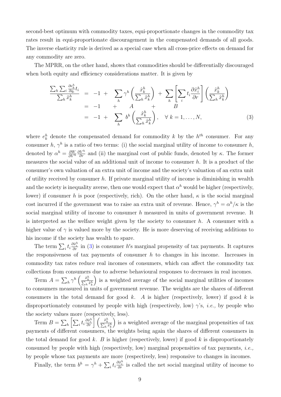second-best optimum with commodity taxes, equi-proportionate changes in the commodity tax rates result in equi-proportionate discouragement in the compensated demands of all goods. The inverse elasticity rule is derived as a special case when all cross-price effects on demand for any commodity are zero.

The MPRR, on the other hand, shows that commodities should be differentially discouraged when both equity and efficiency considerations matter. It is given by

<span id="page-10-0"></span>
$$
\frac{\sum_{h}\sum_{i}\frac{\partial e_{k}^{h}}{\partial q_{i}}t_{i}}{\sum_{h}\hat{x}_{k}^{h}} = -1 + \sum_{h}\gamma^{h}\left(\frac{\hat{x}_{k}^{h}}{\sum_{h}\hat{x}_{k}^{h}}\right) + \sum_{h}\left[\sum_{i}t_{i}\frac{\partial \hat{x}_{i}^{h}}{\partial r}\right]\left(\frac{\hat{x}_{k}^{h}}{\sum_{h}\hat{x}_{k}^{h}}\right)
$$
\n
$$
= -1 + A + B
$$
\n
$$
= -1 + \sum_{h}b^{h}\left(\frac{\hat{x}_{k}^{h}}{\sum_{h}\hat{x}_{k}^{h}}\right), \quad \forall k = 1,..., N,
$$
\n(3)

where  $e_k^h$  denote the compensated demand for commodity k by the  $h^{th}$  consumer. For any consumer h,  $\gamma^h$  is a ratio of two terms: (i) the social marginal utility of income to consumer h, denoted by  $\alpha^h = \frac{\partial W}{\partial V}$  $\partial V^h$  $\frac{\partial V^h}{\partial r}$  and (ii) the marginal cost of public funds, denoted by  $\kappa$ . The former measures the social value of an additional unit of income to consumer  $h$ . It is a product of the consumer's own valuation of an extra unit of income and the society's valuation of an extra unit of utility received by consumer  $h$ . If private marginal utility of income is diminishing in wealth and the society is inequality averse, then one would expect that  $\alpha^h$  would be higher (respectively, lower) if consumer h is poor (respectively, rich). On the other hand,  $\kappa$  is the social marginal cost incurred if the government was to raise an extra unit of revenue. Hence,  $\gamma^h = \alpha^h/\kappa$  is the social marginal utility of income to consumer h measured in units of government revenue. It is interpreted as the welfare weight given by the society to consumer h. A consumer with a higher value of  $\gamma$  is valued more by the society. He is more deserving of receiving additions to his income if the society has wealth to spare.

The term  $\sum_i t_i \frac{\partial \hat{x}_i^h}{\partial r}$  in [\(3\)](#page-10-0) is consumer h's marginal propensity of tax payments. It captures the responsiveness of tax payments of consumer  $h$  to changes in his income. Increases in commodity tax rates reduce real incomes of consumers, which can affect the commodity tax collections from consumers due to adverse behavioural responses to decreases in real incomes.

Term  $A = \sum_h \gamma^h \left( \frac{\hat{x}_k^h}{\sum_h \hat{x}_k^h} \right)$  is a weighted average of the social marginal utilities of incomes to consumers measured in units of government revenue. The weights are the shares of different consumers in the total demand for good k. A is higher (respectively, lower) if good k is disproportionately consumed by people with high (respectively, low)  $\gamma$ 's, *i.e.*, by people who the society values more (respectively, less).

Term  $B = \sum_h \left[ \sum_i t_i \frac{\partial \hat{x}_i^h}{\partial r} \right] \left( \frac{\hat{x}_k^h}{\sum_h \hat{x}_k^h} \right]$  is a weighted average of the marginal propensities of tax payments of different consumers, the weights being again the shares of different consumers in the total demand for good k. B is higher (respectively, lower) if good k is disproportionately consumed by people with high (respectively, low) marginal propensities of tax payments, *i.e.*, by people whose tax payments are more (respectively, less) responsive to changes in incomes.

Finally, the term  $b^h = \gamma^h + \sum_i t_i \frac{\partial \hat{x}_i^h}{\partial r}$  is called the net social marginal utility of income to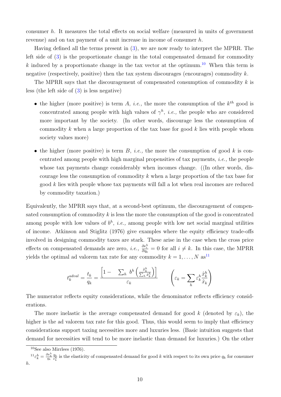consumer h. It measures the total effects on social welfare (measured in units of government revenue) and on tax payment of a unit increase in income of consumer h.

Having defined all the terms present in [\(3\)](#page-10-0), we are now ready to interpret the MPRR. The left side of [\(3\)](#page-10-0) is the proportionate change in the total compensated demand for commodity k induced by a proportionate change in the tax vector at the optimum.<sup>[10](#page-1-0)</sup> When this term is negative (respectively, positive) then the tax system discourages (encourages) commodity  $k$ .

The MPRR says that the discouragement of compensated consumption of commodity  $k$  is less (the left side of [\(3\)](#page-10-0) is less negative)

- the higher (more positive) is term A, *i.e.*, the more the consumption of the  $k^{th}$  good is concentrated among people with high values of  $\gamma^h$ , *i.e.*, the people who are considered more important by the society. (In other words, discourage less the consumption of commodity k when a large proportion of the tax base for good  $k$  lies with people whom society values more)
- the higher (more positive) is term  $B$ , *i.e.*, the more the consumption of good k is concentrated among people with high marginal propensities of tax payments, i.e., the people whose tax payments change considerably when incomes change. ((In other words, discourage less the consumption of commodity k when a large proportion of the tax base for good k lies with people whose tax payments will fall a lot when real incomes are reduced by commodity taxation.)

Equivalently, the MPRR says that, at a second-best optimum, the discouragement of compensated consumption of commodity  $k$  is less the more the consumption of the good is concentrated among people with low values of  $b^h$ , *i.e.*, among people with low net social marginal utilities of income. Atkinson and Stiglitz (1976) give examples where the equity efficiency trade-offs involved in designing commodity taxes are stark. These arise in the case when the cross price effects on compensated demands are zero, *i.e.*,  $\frac{\partial e_i^h}{\partial q_k} = 0$  for all  $i \neq k$ . In this case, the MPRR yields the optimal ad valorem tax rate for any commodity  $k = 1, ..., N$  as<sup>[11](#page-1-0)</sup>

$$
t_k^{adval} = \frac{t_k}{q_k} = \frac{\left[1 - \sum_h b^h \left( \frac{\hat{x}_k^h}{\sum_h \hat{x}_k^h} \right) \right]}{\varepsilon_k} \qquad \left(\varepsilon_k = \sum_h \varepsilon_k^h \frac{\hat{x}_k^h}{\hat{x}_k} \right)
$$

The numerator reflects equity considerations, while the denominator reflects efficiency considerations.

The more inelastic is the average compensated demand for good k (denoted by  $\varepsilon_k$ ), the higher is the ad valorem tax rate for this good. Thus, this would seem to imply that efficiency considerations support taxing necessities more and luxuries less. (Basic intuition suggests that demand for necessities will tend to be more inelastic than demand for luxuries.) On the other

 $10$ See also Mirrlees (1976).

 ${}^{11}\varepsilon_k^h = \frac{\partial e_k^h}{q_k} \frac{q_k}{e_k^h}$  is the elasticity of compensated demand for good k with respect to its own price  $q_k$  for consumer h.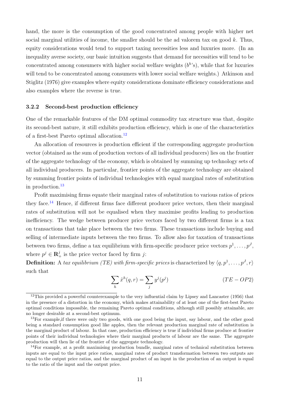hand, the more is the consumption of the good concentrated among people with higher net social marginal utilities of income, the smaller should be the ad valorem tax on good  $k$ . Thus, equity considerations would tend to support taxing necessities less and luxuries more. (In an inequality averse society, our basic intuition suggests that demand for necessities will tend to be concentrated among consumers with higher social welfare weights  $(b<sup>h</sup>'s)$ , while that for luxuries will tend to be concentrated among consumers with lower social welfare weights.) Atkinson and Stiglitz (1976) give examples where equity considerations dominate efficiency considerations and also examples where the reverse is true.

#### <span id="page-12-0"></span>3.2.2 Second-best production efficiency

One of the remarkable features of the DM optimal commodity tax structure was that, despite its second-best nature, it still exhibits production efficiency, which is one of the characteristics of a first-best Pareto optimal allocation.[12](#page-1-0)

An allocation of resources is production efficient if the corresponding aggregate production vector (obtained as the sum of production vectors of all individual producers) lies on the frontier of the aggregate technology of the economy, which is obtained by summing up technology sets of all individual producers. In particular, frontier points of the aggregate technology are obtained by summing frontier points of individual technologies with equal marginal rates of substitution in production. $^{13}$  $^{13}$  $^{13}$ 

Profit maximising firms equate their marginal rates of substitution to various ratios of prices they face.<sup>[14](#page-1-0)</sup> Hence, if different firms face different producer price vectors, then their marginal rates of substitution will not be equalised when they maximise profits leading to production inefficiency. The wedge between producer price vectors faced by two different firms is a tax on transactions that take place between the two firms. These transactions include buying and selling of intermediate inputs between the two firms. To allow also for taxation of transactions between two firms, define a tax equilibrium with firm-specific producer price vectors  $p^1, \ldots, p^J$ , where  $p^j \in \mathbf{R}_+^j$  is the price vector faced by firm j:

**Definition:** A tax equilibrium (TE) with firm-specific prices is characterized by  $\langle q, p^1, \ldots, p^J, r \rangle$ such that

$$
\sum_{h} \hat{x}^{h}(q,r) = \sum_{j} y^{j}(p^{j})
$$
 (TE – OP2)

<sup>&</sup>lt;sup>12</sup>This provided a powerful counterexample to the very influential claim by Lipsey and Lancaster (1956) that in the presence of a distortion in the economy, which makes attainability of at least one of the first-best Pareto optimal conditions impossible, the remaining Pareto optimal conditions, although still possibly attainable, are no longer desirable at a second-best optimum.

<sup>&</sup>lt;sup>13</sup>For example, if there were only two goods, with one good being the input, say labour, and the other good being a standard consumption good like apples, then the relevant production marginal rate of substitution is the marginal product of labour. In that case, production efficiency is true if individual firms produce at frontier points of their individual technologies where their marginal products of labour are the same. The aggregate production will then lie of the frontier of the aggregate technology.

<sup>&</sup>lt;sup>14</sup>For example, at a profit maximising production bundle, marginal rates of technical substitution between inputs are equal to the input price ratios, marginal rates of product transformation between two outputs are equal to the output price ratios, and the marginal product of an input in the production of an output is equal to the ratio of the input and the output price.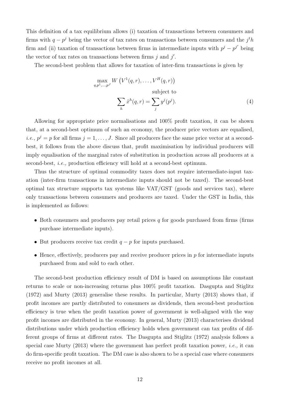This definition of a tax equilibrium allows (i) taxation of transactions between consumers and firms with  $q - p<sup>j</sup>$  being the vector of tax rates on transactions between consumers and the  $j<sup>t</sup>h$ firm and (ii) taxation of transactions between firms in intermediate inputs with  $p^j - p^{j'}$  being the vector of tax rates on transactions between firms  $j$  and  $j'$ .

The second-best problem that allows for taxation of inter-firm transactions is given by

$$
\max_{q,p^1,\dots,p^J} W\left(V^1(q,r),\dots,V^H(q,r)\right)
$$
\nsubject to\n
$$
\sum_h \hat{x}^h(q,r) = \sum_j y^j(p^j).
$$
\n(4)

Allowing for appropriate price normalisations and 100% profit taxation, it can be shown that, at a second-best optimum of such an economy, the producer price vectors are equalised, *i.e.*,  $p^j = p$  for all firms  $j = 1, \ldots, J$ . Since all producers face the same price vector at a secondbest, it follows from the above discuss that, profit maximisation by individual producers will imply equalisation of the marginal rates of substitution in production across all producers at a second-best, i.e., production efficiency will hold at a second-best optimum.

Thus the structure of optimal commodity taxes does not require intermediate-input taxation (inter-firm transactions in intermediate inputs should not be taxed). The second-best optimal tax structure supports tax systems like VAT/GST (goods and services tax), where only transactions between consumers and producers are taxed. Under the GST in India, this is implemented as follows:

- Both consumers and producers pay retail prices  $q$  for goods purchased from firms (firms purchase intermediate inputs).
- But producers receive tax credit  $q p$  for inputs purchased.
- Hence, effectively, producers pay and receive producer prices in  $p$  for intermediate inputs purchased from and sold to each other.

The second-best production efficiency result of DM is based on assumptions like constant returns to scale or non-increasing returns plus 100% profit taxation. Dasgupta and Stiglitz (1972) and Murty (2013) generalise these results. In particular, Murty (2013) shows that, if profit incomes are partly distributed to consumers as dividends, then second-best production efficiency is true when the profit taxation power of government is well-aligned with the way profit incomes are distributed in the economy. In general, Murty (2013) characterises dividend distributions under which production efficiency holds when government can tax profits of different groups of firms at different rates. The Dasgupta and Stiglitz (1972) analysis follows a special case Murty  $(2013)$  where the government has perfect profit taxation power, *i.e.*, it can do firm-specific profit taxation. The DM case is also shown to be a special case where consumers receive no profit incomes at all.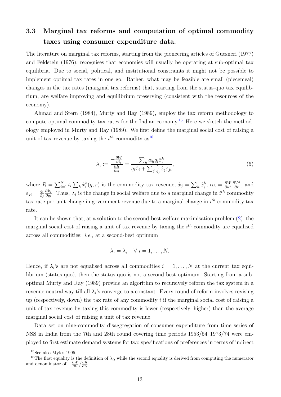# 3.3 Marginal tax reforms and computation of optimal commodity taxes using consumer expenditure data.

The literature on marginal tax reforms, starting from the pioneering articles of Guesneri (1977) and Feldstein (1976), recognises that economies will usually be operating at sub-optimal tax equilibria. Due to social, political, and institutional constraints it might not be possible to implement optimal tax rates in one go. Rather, what may be feasible are small (piecemeal) changes in the tax rates (marginal tax reforms) that, starting from the status-quo tax equilibrium, are welfare improving and equilibrium preserving (consistent with the resources of the economy).

Ahmad and Stern (1984), Murty and Ray (1989), employ the tax reform methodology to compute optimal commodity tax rates for the Indian economy.[15](#page-1-0) Here we sketch the methodology employed in Murty and Ray (1989). We first define the marginal social cost of raising a unit of tax revenue by taxing the  $i^{th}$  commodity as  $16$ 

<span id="page-14-0"></span>
$$
\lambda_i := \frac{-\frac{\partial W}{\partial t_i}}{\frac{\partial R}{\partial t_i}} = \frac{\sum_h \alpha_h q_i \hat{x}_i^h}{q_i \hat{x}_i + \sum_j \frac{t_j}{q_j} \hat{x}_j \varepsilon_{ji}},\tag{5}
$$

where  $R = \sum_{i=1}^{N} t_i \sum_h \hat{x}_i^h(q,r)$  is the commodity tax revenue,  $\hat{x}_j = \sum_h \hat{x}_j^h$ ,  $\alpha_h = \frac{\partial W}{\partial u^h}$  $\partial u^h$  $\frac{\partial V^h}{\partial r}$ , and  $\varepsilon_{ji} = \frac{q_i}{\hat{x}_i}$  $\hat{x}_j$  $\partial \hat{x}_j$  $\frac{\partial x_j}{\partial q_i}$ . Thus,  $\lambda_i$  is the change in social welfare due to a marginal change in  $i^{th}$  commodity tax rate per unit change in government revenue due to a marginal change in  $i^{th}$  commodity tax rate.

It can be shown that, at a solution to the second-best welfare maximisation problem [\(2\)](#page-8-1), the marginal social cost of raising a unit of tax revenue by taxing the  $i^{th}$  commodity are equalised across all commodities: i.e., at a second-best optimum

$$
\lambda_i = \lambda, \quad \forall \ i = 1, \dots, N.
$$

Hence, if  $\lambda_i$ 's are not equalised across all commodities  $i = 1, \ldots, N$  at the current tax equilibrium (status-quo), then the status-quo is not a second-best optimum. Starting from a suboptimal Murty and Ray (1989) provide an algorithm to recursively reform the tax system in a revenue neutral way till all  $\lambda_i$ 's converge to a constant. Every round of reform involves revising up (respectively, down) the tax rate of any commodity  $i$  if the marginal social cost of raising a unit of tax revenue by taxing this commodity is lower (respectively, higher) than the average marginal social cost of raising a unit of tax revenue.

Data set on nine-commodity disaggregation of consumer expenditure from time series of NSS in India from the 7th and 28th round covering time periods 1953/54–1973/74 were employed to first estimate demand systems for two specifications of preferences in terms of indirect

 $15$ See also Myles 1995.

<sup>&</sup>lt;sup>16</sup>The first equality is the definition of  $\lambda_i$ , while the second equality is derived from computing the numerator and denominator of  $-\frac{\partial W}{\partial t_i} / \frac{\partial R}{\partial t_i}$ .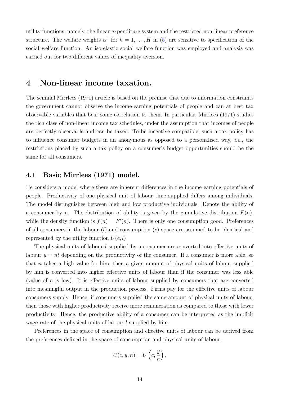utility functions, namely, the linear expenditure system and the restricted non-linear preference structure. The welfare weights  $\alpha^h$  for  $h = 1, \ldots, H$  in [\(5\)](#page-14-0) are sensitive to specification of the social welfare function. An iso-elastic social welfare function was employed and analysis was carried out for two different values of inequality aversion.

## 4 Non-linear income taxation.

The seminal Mirrlees (1971) article is based on the premise that due to information constraints the government cannot observe the income-earning potentials of people and can at best tax observable variables that bear some correlation to them. In particular, Mirrlees (1971) studies the rich class of non-linear income tax schedules, under the assumption that incomes of people are perfectly observable and can be taxed. To be incentive compatible, such a tax policy has to influence consumer budgets in an anonymous as opposed to a personalised way, *i.e.*, the restrictions placed by such a tax policy on a consumer's budget opportunities should be the same for all consumers.

## 4.1 Basic Mirrlees (1971) model.

He considers a model where there are inherent differences in the income earning potentials of people. Productivity of one physical unit of labour time supplied differs among individuals. The model distinguishes between high and low productive individuals. Denote the ability of a consumer by n. The distribution of ability is given by the cumulative distribution  $F(n)$ , while the density function is  $f(n) = F'(n)$ . There is only one consumption good. Preferences of all consumers in the labour  $(l)$  and consumption  $(c)$  space are assumed to be identical and represented by the utility function  $U(c, l)$ 

The physical units of labour *l* supplied by a consumer are converted into effective units of labour  $y = nl$  depending on the productivity of the consumer. If a consumer is more able, so that n takes a high value for him, then a given amount of physical units of labour supplied by him is converted into higher effective units of labour than if the consumer was less able (value of  $n$  is low). It is effective units of labour supplied by consumers that are converted into meaningful output in the production process. Firms pay for the effective units of labour consumers supply. Hence, if consumers supplied the same amount of physical units of labour, then those with higher productivity receive more remuneration as compared to those with lower productivity. Hence, the productive ability of a consumer can be interpreted as the implicit wage rate of the physical units of labour l supplied by him.

Preferences in the space of consumption and effective units of labour can be derived from the preferences defined in the space of consumption and physical units of labour:

$$
U(c, y, n) = \bar{U}\left(c, \frac{y}{n}\right),\,
$$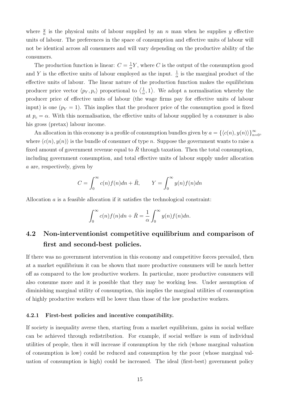where  $\frac{y}{n}$  is the physical units of labour supplied by an n man when he supplies y effective units of labour. The preferences in the space of consumption and effective units of labour will not be identical across all consumers and will vary depending on the productive ability of the consumers.

The production function is linear:  $C = \frac{1}{2}$  $\frac{1}{\alpha}Y$ , where C is the output of the consumption good and Y is the effective units of labour employed as the input.  $\frac{1}{\alpha}$  is the marginal product of the effective units of labour. The linear nature of the production function makes the equilibrium producer price vector  $\langle p_Y, p_c \rangle$  proportional to  $\langle \frac{1}{\alpha} \rangle$  $\frac{1}{\alpha}$ , 1). We adopt a normalisation whereby the producer price of effective units of labour (the wage firms pay for effective units of labour input) is one  $(p_Y = 1)$ . This implies that the producer price of the consumption good is fixed at  $p_c = \alpha$ . With this normalisation, the effective units of labour supplied by a consumer is also his gross (pretax) labour income.

An allocation in this economy is a profile of consumption bundles given by  $a = \{\langle c(n), y(n) \rangle\}_{n=0}^{\infty}$ , where  $\langle c(n), y(n) \rangle$  is the bundle of consumer of type n. Suppose the government wants to raise a fixed amount of government revenue equal to  $\overline{R}$  through taxation. Then the total consumption, including government consumption, and total effective units of labour supply under allocation a are, respectively, given by

$$
C = \int_0^\infty c(n)f(n)dn + \bar{R}, \qquad Y = \int_0^\infty y(n)f(n)dn
$$

Allocation  $\alpha$  is a feasible allocation if it satisfies the technological constraint:

$$
\int_0^\infty c(n)f(n)dn + \bar{R} = \frac{1}{\alpha} \int_0^\infty y(n)f(n)dn.
$$

# 4.2 Non-interventionist competitive equilibrium and comparison of first and second-best policies.

If there was no government intervention in this economy and competitive forces prevailed, then at a market equilibrium it can be shown that more productive consumers will be much better off as compared to the low productive workers. In particular, more productive consumers will also consume more and it is possible that they may be working less. Under assumption of diminishing marginal utility of consumption, this implies the marginal utilities of consumption of highly productive workers will be lower than those of the low productive workers.

#### 4.2.1 First-best policies and incentive compatibility.

If society is inequality averse then, starting from a market equilibrium, gains in social welfare can be achieved through redistribution. For example, if social welfare is sum of individual utilities of people, then it will increase if consumption by the rich (whose marginal valuation of consumption is low) could be reduced and consumption by the poor (whose marginal valuation of consumption is high) could be increased. The ideal (first-best) government policy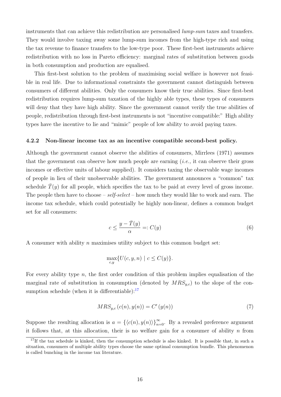instruments that can achieve this redistribution are personalised lump-sum taxes and transfers. They would involve taxing away some lump-sum incomes from the high-type rich and using the tax revenue to finance transfers to the low-type poor. These first-best instruments achieve redistribution with no loss in Pareto efficiency: marginal rates of substitution between goods in both consumption and production are equalised.

This first-best solution to the problem of maximising social welfare is however not feasible in real life. Due to informational constraints the government cannot distinguish between consumers of different abilities. Only the consumers know their true abilities. Since first-best redistribution requires lump-sum taxation of the highly able types, these types of consumers will deny that they have high ability. Since the government cannot verify the true abilities of people, redistribution through first-best instruments is not "incentive compatible:" High ability types have the incentive to lie and "mimic" people of low ability to avoid paying taxes.

#### 4.2.2 Non-linear income tax as an incentive compatible second-best policy.

Although the government cannot observe the abilities of consumers, Mirrlees (1971) assumes that the government can observe how much people are earning  $(i.e., it can observe their gross$ incomes or effective units of labour supplied). It considers taxing the observable wage incomes of people in lieu of their unobservable abilities. The government announces a "common" tax schedule  $\overline{T}(y)$  for all people, which specifies the tax to be paid at every level of gross income. The people then have to choose –  $self\text{-}select$  – how much they would like to work and earn. The income tax schedule, which could potentially be highly non-linear, defines a common budget set for all consumers:

<span id="page-17-0"></span>
$$
c \le \frac{y - \bar{T}(y)}{\alpha} =: C(y)
$$
\n<sup>(6)</sup>

A consumer with ability  $n$  maximises utility subject to this common budget set:

$$
\max_{c,y} \{ U(c, y, n) \mid c \le C(y) \}.
$$

For every ability type  $n$ , the first order condition of this problem implies equalisation of the marginal rate of substitution in consumption (denoted by  $MRS_{y,c}$ ) to the slope of the consumption schedule (when it is differentiable): $17$ 

<span id="page-17-1"></span>
$$
MRS_{y,c}(c(n), y(n)) = C'(y(n))
$$
\n<sup>(7)</sup>

Suppose the resulting allocation is  $a = \{ \langle c(n), y(n) \rangle \}_{n=0}^{\infty}$ . By a revealed preference argument it follows that, at this allocation, their is no welfare gain for a consumer of ability  $n$  from

<sup>&</sup>lt;sup>17</sup>If the tax schedule is kinked, then the consumption schedule is also kinked. It is possible that, in such a situation, consumers of multiple ability types choose the same optimal consumption bundle. This phenomenon is called bunching in the income tax literature.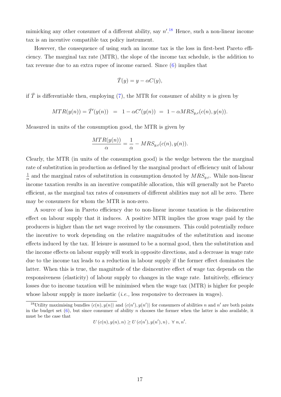mimicking any other consumer of a different ability, say  $n'.^{18}$  $n'.^{18}$  $n'.^{18}$  Hence, such a non-linear income tax is an incentive compatible tax policy instrument.

However, the consequence of using such an income tax is the loss in first-best Pareto efficiency. The marginal tax rate (MTR), the slope of the income tax schedule, is the addition to tax revenue due to an extra rupee of income earned. Since [\(6\)](#page-17-0) implies that

$$
\bar{T}(y) = y - \alpha C(y),
$$

if  $\overline{T}$  is differentiable then, employing [\(7\)](#page-17-1), the MTR for consumer of ability n is given by

$$
MTR(y(n)) = \overline{T}'(y(n)) = 1 - \alpha C'(y(n)) = 1 - \alpha MRS_{y,c}(c(n), y(n)).
$$

Measured in units of the consumption good, the MTR is given by

$$
\frac{MTR(y(n))}{\alpha} = \frac{1}{\alpha} - MRS_{y,c}(c(n), y(n)).
$$

Clearly, the MTR (in units of the consumption good) is the wedge between the the marginal rate of substitution in production as defined by the marginal product of efficiency unit of labour 1  $\frac{1}{\alpha}$  and the marginal rates of substitution in consumption denoted by  $MRS_{y,c}$ . While non-linear income taxation results in an incentive compatible allocation, this will generally not be Pareto efficient, as the marginal tax rates of consumers of different abilities may not all be zero. There may be consumers for whom the MTR is non-zero.

A source of loss in Pareto efficiency due to non-linear income taxation is the disincentive effect on labour supply that it induces. A positive MTR implies the gross wage paid by the producers is higher than the net wage received by the consumers. This could potentially reduce the incentive to work depending on the relative magnitudes of the substitution and income effects induced by the tax. If leisure is assumed to be a normal good, then the substitution and the income effects on labour supply will work in opposite directions, and a decrease in wage rate due to the income tax leads to a reduction in labour supply if the former effect dominates the latter. When this is true, the magnitude of the disincentive effect of wage tax depends on the responsiveness (elasticity) of labour supply to changes in the wage rate. Intuitively, efficiency losses due to income taxation will be minimised when the wage tax (MTR) is higher for people whose labour supply is more inelastic  $(i.e.,$  less responsive to decreases in wages).

$$
U(c(n), y(n), n) \ge U(c(n'), y(n'), n), \ \forall n, n'.
$$

<sup>&</sup>lt;sup>18</sup>Utility maximising bundles  $\langle c(n), y(n) \rangle$  and  $\langle c(n'), y(n') \rangle$  for consumers of abilities n and n' are both points in the budget set  $(6)$ , but since consumer of ability n chooses the former when the latter is also available, it must be the case that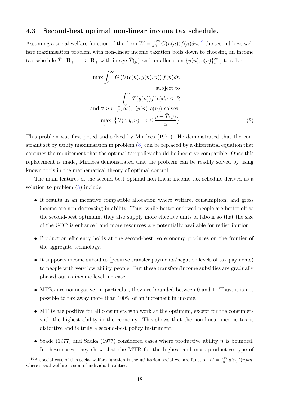### 4.3 Second-best optimal non-linear income tax schedule.

Assuming a social welfare function of the form  $W = \int_0^\infty G(u(n))f(n)dn$ ,<sup>[19](#page-1-0)</sup> the second-best welfare maximisation problem with non-linear income taxation boils down to choosing an income tax schedule  $\overline{T} : \mathbf{R}_{+} \longrightarrow \mathbf{R}_{+}$  with image  $\overline{T}(y)$  and an allocation  $\{y(n), c(n)\}_{n=0}^{\infty}$  to solve:

<span id="page-19-0"></span>
$$
\max \int_0^\infty G\left(U(c(n), y(n), n)\right) f(n) dn
$$
\nsubject to\n
$$
\int_0^\infty \overline{T}(y(n)) f(n) dn \leq \overline{R}
$$
\nand  $\forall n \in [0, \infty), \langle y(n), c(n) \rangle$  solves\n
$$
\max_{y,c} \{U(c, y, n) \mid c \leq \frac{y - \overline{T}(y)}{\alpha}\}
$$
\n(8)

This problem was first posed and solved by Mirrlees (1971). He demonstrated that the constraint set by utility maximisation in problem [\(8\)](#page-19-0) can be replaced by a differential equation that captures the requirement that the optimal tax policy should be incentive compatible. Once this replacement is made, Mirrlees demonstrated that the problem can be readily solved by using known tools in the mathematical theory of optimal control.

The main features of the second-best optimal non-linear income tax schedule derived as a solution to problem [\(8\)](#page-19-0) include:

- It results in an incentive compatible allocation where welfare, consumption, and gross income are non-decreasing in ability. Thus, while better endowed people are better off at the second-best optimum, they also supply more effective units of labour so that the size of the GDP is enhanced and more resources are potentially available for redistribution.
- Production efficiency holds at the second-best, so economy produces on the frontier of the aggregate technology.
- It supports income subsidies (positive transfer payments/negative levels of tax payments) to people with very low ability people. But these transfers/income subsidies are gradually phased out as income level increase.
- MTRs are nonnegative, in particular, they are bounded between 0 and 1. Thus, it is not possible to tax away more than 100% of an increment in income.
- MTRs are positive for all consumers who work at the optimum, except for the consumers with the highest ability in the economy. This shows that the non-linear income tax is distortive and is truly a second-best policy instrument.
- Seade (1977) and Sadka (1977) considered cases where productive ability  $n$  is bounded. In these cases, they show that the MTR for the highest and most productive type of

<sup>&</sup>lt;sup>19</sup>A special case of this social welfare function is the utilitarian social welfare function  $W = \int_0^\infty u(n)f(n)dn$ , where social welfare is sum of individual utilities.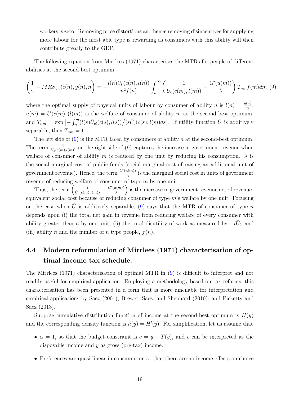workers is zero. Removing price distortions and hence removing disincentives for supplying more labour for the most able type is rewarding as consumers with this ability will then contribute greatly to the GDP.

The following equation from Mirrlees (1971) characterises the MTRs for people of different abilities at the second-best optimum.

<span id="page-20-0"></span>
$$
\left(\frac{1}{\alpha} - MRS_{y,c}(c(n), y(n), n)\right) = -\frac{l(n)\bar{U}_l(c(n), l(n))}{n^2 f(n)} \int_n^{\infty} \left(\frac{1}{\bar{U}_c(c(m), l(m))} - \frac{G'(u(m))}{\lambda}\right) T_{nm} f(m) dm
$$
(9)

where the optimal supply of physical units of labour by consumer of ability n is  $l(n) = \frac{y(n)}{n}$ ,  $u(m) = \bar{U}(c(m), (l(m))$  is the welfare of consumer of ability m at the second-best optimum, and  $T_{nm} = \exp \left[-\int_n^m (l(s)\overline{U}_{cl}(c(s),l(s))\big/(s\overline{U}_c(c(s),l(s))ds\right]$ . If utility function  $\overline{U}$  is additively separable, then  $T_{nm} = 1$ .

The left side of  $(9)$  is the MTR faced by consumers of ability n at the second-best optimum. The term  $\frac{1}{U_c(c(m),l(m))}$  on the right side of [\(9\)](#page-20-0) captures the increase in government revenue when welfare of consumer of ability m is reduced by one unit by reducing his consumption.  $\lambda$  is the social marginal cost of public funds (social marginal cost of raising an additional unit of government revenue). Hence, the term  $\frac{G'(u(m))}{\lambda}$  $\frac{u(m))}{\lambda}$  is the marginal social cost in units of government revenue of reducing welfare of consumer of type  $m$  by one unit.

Thus, the term  $\left(\frac{1}{\tilde{U}_c(c(m),l(m))}-\frac{G'(u(m))}{\lambda}\right)$  $\left(\frac{\mu(m))}{\lambda}\right)$  is the increase in government revenue net of revenueequivalent social cost because of reducing consumer of type  $m$ 's welfare by one unit. Focusing on the case when U is additively separable, [\(9\)](#page-20-0) says that the MTR of consumer of type n depends upon (i) the total net gain in revenue from reducing welfare of every consumer with ability greater than n by one unit, (ii) the total disutility of work as measured by  $-l\bar{U}_l$ , and (iii) ability n and the number of n type people,  $f(n)$ .

# 4.4 Modern reformulation of Mirrlees (1971) characterisation of optimal income tax schedule.

The Mirrlees (1971) characterisation of optimal MTR in [\(9\)](#page-20-0) is difficult to interpret and not readily useful for empirical application. Employing a methodology based on tax reforms, this characterisation has been presented in a form that is more amenable for interpretation and empirical applications by Saez (2001), Brewer, Saez, and Shephard (2010), and Picketty and Saez (2013).

Suppose cumulative distribution function of income at the second-best optimum is  $H(y)$ and the corresponding density function is  $h(y) = H'(y)$ . For simplification, let us assume that

- $\alpha = 1$ , so that the budget constraint is  $c = y \overline{T}(y)$ , and c can be interpreted as the disposable income and  $y$  as gross (pre-tax) income.
- Preferences are quasi-linear in consumption so that there are no income effects on choice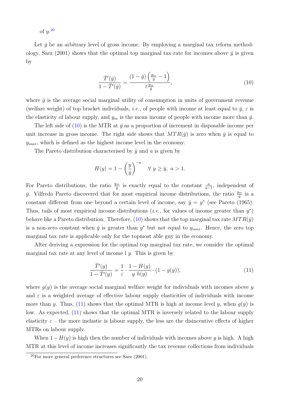of  $y^{20}$  $y^{20}$  $y^{20}$ 

Let  $\bar{y}$  be an arbitrary level of gross income. By employing a marginal tax reform methodology, Saez (2001) shows that the optimal top marginal tax rate for incomes above  $\bar{y}$  is given by

<span id="page-21-0"></span>
$$
\frac{\bar{T}'(\bar{y})}{1 - \bar{T}'(\bar{y})} = \frac{(1 - \bar{g})\left(\frac{y_m}{\bar{y}} - 1\right)}{\varepsilon \frac{y_m}{\bar{y}}},\tag{10}
$$

where  $\bar{q}$  is the average social marginal utility of consumption in units of government revenue (welfare weight) of top bracket individuals, *i.e.*, of people with income at least equal to  $\bar{y}$ ,  $\varepsilon$  is the elasticity of labour supply, and  $y_m$  is the mean income of people with income more than  $\bar{y}$ .

The left side of [\(10\)](#page-21-0) is the MTR at  $\bar{y}$  as a proportion of increment in disposable income per unit increase in gross income. The right side shows that  $MTR(\bar{y})$  is zero when  $\bar{y}$  is equal to  $y_{max}$ , which is defined as the highest income level in the economy.

The Pareto distribution characterised by  $\bar{y}$  and a is given by

$$
H(y) = 1 - \left(\frac{y}{\bar{y}}\right)^{-a} \quad \forall y \ge \bar{y}, \ a > 1.
$$

For Pareto distributions, the ratio  $\frac{y_m}{\bar{y}}$  is exactly equal to the constant  $\frac{a}{a-1}$ , independent of  $\bar{y}$ . Vilfredo Pareto discovered that for most empirical income distributions, the ratio  $\frac{y_m}{\bar{y}}$  is a constant different from one beyond a certain level of income, say  $\bar{y} = y^*$  (see Pareto (1965). Thus, tails of most empirical income distributions (*i.e.*, for values of income greater than  $y^*$ ) behave like a Pareto distribution. Therefore, [\(10\)](#page-21-0) shows that the top marginal tax rate  $MTR(\bar{y})$ is a non-zero constant when  $\bar{y}$  is greater than  $y^*$  but not equal to  $y_{max}$ . Hence, the zero top marginal tax rate is applicable only for the topmost able guy in the economy.

After deriving a expression for the optimal top marginal tax rate, we consider the optimal marginal tax rate at any level of income  $\ell$  y. This is given by

<span id="page-21-1"></span>
$$
\frac{\overline{T}'(y)}{1-\overline{T}'(y)} = \frac{1}{\varepsilon} \cdot \frac{1-H(y)}{y \ h(y)} \cdot (1-g(y)),\tag{11}
$$

where  $q(y)$  is the average social marginal welfare weight for individuals with incomes above y and  $\varepsilon$  is a weighted average of effective labour supply elasticities of individuals with income more than y. Thus, [\(11\)](#page-21-1) shows that the optimal MTR is high at income level y, when  $q(y)$  is low. As expected, [\(11\)](#page-21-1) shows that the optimal MTR is inversely related to the labour supply elasticity  $\varepsilon$  – the more inelastic is labour supply, the less are the disincentive effects of higher MTRs on labour supply.

When  $1-H(y)$  is high then the number of individuals with incomes above y is high. A high MTR at this level of income increases significantly the tax revenue collections from individuals

 $20$ For more general preference structures see Saez (2001).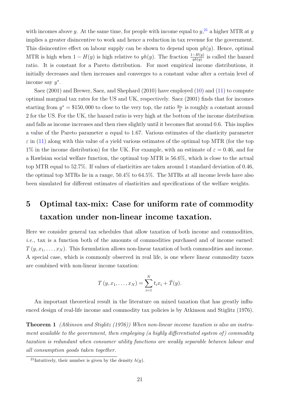with incomes above y. At the same time, for people with income equal to  $y<sub>1</sub>^{21}$  $y<sub>1</sub>^{21}$  $y<sub>1</sub>^{21}$  a higher MTR at y implies a greater disincentive to work and hence a reduction in tax revenue for the government. This disincentive effect on labour supply can be shown to depend upon  $yh(y)$ . Hence, optimal MTR is high when  $1 - H(y)$  is high relative to  $yh(y)$ . The fraction  $\frac{1-H(y)}{yh(y)}$  is called the hazard ratio. It is constant for a Pareto distribution. For most empirical income distributions, it initially decreases and then increases and converges to a constant value after a certain level of income say  $y^*$ .

Saez (2001) and Brewer, Saez, and Shephard (2010) have employed [\(10\)](#page-21-0) and [\(11\)](#page-21-1) to compute optimal marginal tax rates for the US and UK, respectively. Saez (2001) finds that for incomes starting from  $y^* = \$150,000$  to close to the very top, the ratio  $\frac{y_m}{\bar{y}}$  is roughly a constant around 2 for the US. For the UK, the hazard ratio is very high at the bottom of the income distribution and falls as income increases and then rises slightly until it becomes flat around 0.6. This implies a value of the Pareto parameter a equal to 1.67. Various estimates of the elasticity parameter  $\varepsilon$  in [\(11\)](#page-21-1) along with this value of a yield various estimates of the optimal top MTR (for the top 1% in the income distribution) for the UK. For example, with an estimate of  $\varepsilon = 0.46$ , and for a Rawlsian social welfare function, the optimal top MTR is 56.6%, which is close to the actual top MTR equal to 52.7%. If values of elasticities are taken around 1 standard deviation of 0.46, the optimal top MTRs lie in a range, 50.4% to 64.5%. The MTRs at all income levels have also been simulated for different estimates of elasticities and specifications of the welfare weights.

# <span id="page-22-0"></span>5 Optimal tax-mix: Case for uniform rate of commodity taxation under non-linear income taxation.

Here we consider general tax schedules that allow taxation of both income and commodities, i.e., tax is a function both of the amounts of commodities purchased and of income earned:  $T(y, x_1, \ldots, x_N)$ . This formulation allows non-linear taxation of both commodities and income. A special case, which is commonly observed in real life, is one where linear commodity taxes are combined with non-linear income taxation:

$$
T(y, x_1,..., x_N) = \sum_{i=1}^N t_i x_i + \bar{T}(y).
$$

An important theoretical result in the literature on mixed taxation that has greatly influenced design of real-life income and commodity tax policies is by Atkinson and Stiglitz (1976).

Theorem 1 (Atkinson and Stiglitz (1976)) When non-linear income taxation is also an instrument available to the government, then employing (a highly differentiated system of ) commodity taxation is redundant when consumer utility functions are weakly separable between labour and all consumption goods taken together.

<sup>&</sup>lt;sup>21</sup>Intuitively, their number is given by the density  $h(y)$ .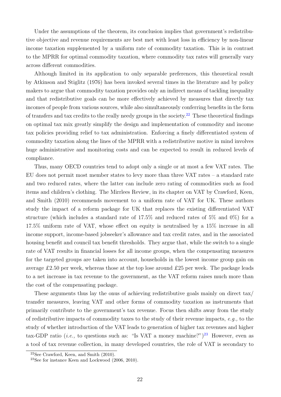Under the assumptions of the theorem, its conclusion implies that government's redistributive objective and revenue requirements are best met with least loss in efficiency by non-linear income taxation supplemented by a uniform rate of commodity taxation. This is in contrast to the MPRR for optimal commodity taxation, where commodity tax rates will generally vary across different commodities.

Although limited in its application to only separable preferences, this theoretical result by Atkinson and Stiglitz (1976) has been invoked several times in the literature and by policy makers to argue that commodity taxation provides only an indirect means of tackling inequality and that redistributive goals can be more effectively achieved by measures that directly tax incomes of people from various sources, while also simultaneously conferring benefits in the form of transfers and tax credits to the really needy groups in the society.<sup>[22](#page-1-0)</sup> These theoretical findings on optimal tax mix greatly simplify the design and implementation of commodity and income tax policies providing relief to tax administration. Enforcing a finely differentiated system of commodity taxation along the lines of the MPRR with a redistributive motive in mind involves huge administrative and monitoring costs and can be expected to result in reduced levels of compliance.

Thus, many OECD countries tend to adopt only a single or at most a few VAT rates. The EU does not permit most member states to levy more than three VAT rates – a standard rate and two reduced rates, where the latter can include zero rating of commodities such as food items and children's clothing. The Mirrlees Review, in its chapter on VAT by Crawford, Keen, and Smith (2010) recommends movement to a uniform rate of VAT for UK. These authors study the impact of a reform package for UK that replaces the existing differentiated VAT structure (which includes a standard rate of 17.5% and reduced rates of 5% and 0%) for a 17.5% uniform rate of VAT, whose effect on equity is neutralised by a 15% increase in all income support, income-based jobseeker's allowance and tax credit rates, and in the associated housing benefit and council tax benefit thresholds. They argue that, while the switch to a single rate of VAT results in financial losses for all income groups, when the compensating measures for the targeted groups are taken into account, households in the lowest income group gain on average £2.50 per week, whereas those at the top lose around £25 per week. The package leads to a net increase in tax revenue to the government, as the VAT reform raises much more than the cost of the compensating package.

These arguments thus lay the onus of achieving redistributive goals mainly on direct tax/ transfer measures, leaving VAT and other forms of commodity taxation as instruments that primarily contribute to the government's tax revenue. Focus then shifts away from the study of redistributive impacts of commodity taxes to the study of their revenue impacts,  $e.g.,$  to the study of whether introduction of the VAT leads to generation of higher tax revenues and higher tax-GDP ratio (*i.e.*, to questions such as: "Is VAT a money machine?")<sup>[23](#page-1-0)</sup> However, even as a tool of tax revenue collection, in many developed countries, the role of VAT is secondary to

 $22$ See Crawford, Keen, and Smith  $(2010)$ .

<sup>&</sup>lt;sup>23</sup>See for instance Keen and Lockwood  $(2006, 2010)$ .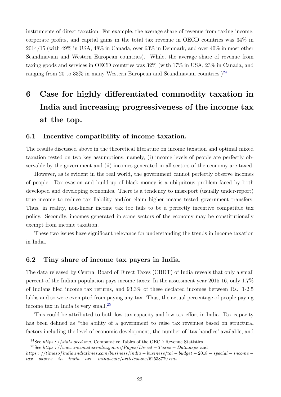instruments of direct taxation. For example, the average share of revenue from taxing income, corporate profits, and capital gains in the total tax revenue in OECD countries was 34% in 2014/15 (with 49% in USA, 48% in Canada, over 63% in Denmark, and over 40% in most other Scandinavian and Western European countries). While, the average share of revenue from taxing goods and services in OECD countries was 32% (with 17% in USA, 23% in Canada, and ranging from 20 to 33% in many Western European and Scandinavian countries.)<sup>[24](#page-1-0)</sup>

# 6 Case for highly differentiated commodity taxation in India and increasing progressiveness of the income tax at the top.

### <span id="page-24-0"></span>6.1 Incentive compatibility of income taxation.

The results discussed above in the theoretical literature on income taxation and optimal mixed taxation rested on two key assumptions, namely, (i) income levels of people are perfectly observable by the government and (ii) incomes generated in all sectors of the economy are taxed.

However, as is evident in the real world, the government cannot perfectly observe incomes of people. Tax evasion and build-up of black money is a ubiquitous problem faced by both developed and developing economies. There is a tendency to misreport (usually under-report) true income to reduce tax liability and/or claim higher means tested government transfers. Thus, in reality, non-linear income tax too fails to be a perfectly incentive compatible tax policy. Secondly, incomes generated in some sectors of the economy may be constitutionally exempt from income taxation.

These two issues have significant relevance for understanding the trends in income taxation in India.

### <span id="page-24-1"></span>6.2 Tiny share of income tax payers in India.

The data released by Central Board of Direct Taxes (CBDT) of India reveals that only a small percent of the Indian population pays income taxes: In the assessment year 2015-16, only 1.7% of Indians filed income tax returns, and 93.3% of these declared incomes between Rs. 1-2.5 lakhs and so were exempted from paying any tax. Thus, the actual percentage of people paying income tax in India is very small.<sup>[25](#page-1-0)</sup>

This could be attributed to both low tax capacity and low tax effort in India. Tax capacity has been defined as "the ability of a government to raise tax revenues based on structural factors including the level of economic development, the number of 'tax handles' available, and

<sup>&</sup>lt;sup>24</sup>See https : //stats.oecd.org, Comparative Tables of the OECD Revenue Statistics.

<sup>&</sup>lt;sup>25</sup>See https : //www.incometaxindia.gov.in/Pages/Direct – Taxes – Data.aspx and https : //timesof india.indiatimes.com/business/india − business/toi − budget − 2018 − special − income −  $tax - pavers - in - indica - are - minuscule/article show/62538779.cms.$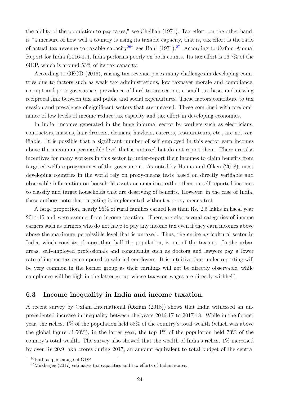the ability of the population to pay taxes," see Chelliah (1971). Tax effort, on the other hand, is "a measure of how well a country is using its taxable capacity, that is, tax effort is the ratio of actual tax revenue to taxable capacity<sup>[26](#page-1-0)</sup> see Bahl (1971).<sup>[27](#page-1-0)</sup> According to Oxfam Annual Report for India (2016-17), India performs poorly on both counts. Its tax effort is 16.7% of the GDP, which is around 53% of its tax capacity.

According to OECD (2016), raising tax revenue poses many challenges in developing countries due to factors such as weak tax administrations, low taxpayer morale and compliance, corrupt and poor governance, prevalence of hard-to-tax sectors, a small tax base, and missing reciprocal link between tax and public and social expenditures. These factors contribute to tax evasion and prevalence of significant sectors that are untaxed. These combined with predominance of low levels of income reduce tax capacity and tax effort in developing economies.

In India, incomes generated in the huge informal sector by workers such as electricians, contractors, masons, hair-dressers, cleaners, hawkers, caterers, restaurateurs, etc., are not verifiable. It is possible that a significant number of self employed in this sector earn incomes above the maximum permissible level that is untaxed but do not report them. There are also incentives for many workers in this sector to under-report their incomes to claim benefits from targeted welfare programmes of the government. As noted by Hanna and Olken (2018), most developing countries in the world rely on proxy-means tests based on directly verifiable and observable information on household assets or amenities rather than on self-reported incomes to classify and target households that are deserving of benefits. However, in the case of India, these authors note that targeting is implemented without a proxy-means test.

A large proportion, nearly 95% of rural families earned less than Rs. 2.5 lakhs in fiscal year 2014-15 and were exempt from income taxation. There are also several categories of income earners such as farmers who do not have to pay any income tax even if they earn incomes above above the maximum permissible level that is untaxed. Thus, the entire agricultural sector in India, which consists of more than half the population, is out of the tax net. In the urban areas, self-employed professionals and consultants such as doctors and lawyers pay a lower rate of income tax as compared to salaried employees. It is intuitive that under-reporting will be very common in the former group as their earnings will not be directly observable, while compliance will be high in the latter group whose taxes on wages are directly withheld.

## <span id="page-25-0"></span>6.3 Income inequality in India and income taxation.

A recent survey by Oxfam International (Oxfam (2018)) shows that India witnessed an unprecedented increase in inequality between the years 2016-17 to 2017-18. While in the former year, the richest 1% of the population held 58% of the country's total wealth (which was above the global figure of  $50\%$ ), in the latter year, the top  $1\%$  of the population held 73% of the country's total wealth. The survey also showed that the wealth of India's richest 1% increased by over Rs 20.9 lakh crores during 2017, an amount equivalent to total budget of the central

<sup>26</sup>Both as percentage of GDP

<sup>27</sup>Mukherjee (2017) estimates tax capacities and tax efforts of Indian states.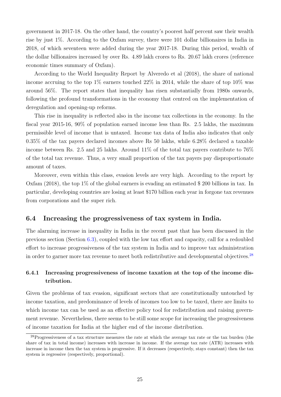government in 2017-18. On the other hand, the country's poorest half percent saw their wealth rise by just 1%. According to the Oxfam survey, there were 101 dollar billionaires in India in 2018, of which seventeen were added during the year 2017-18. During this period, wealth of the dollar billionaires increased by over Rs. 4.89 lakh crores to Rs. 20.67 lakh crores (reference economic times summary of Oxfam).

According to the World Inequality Report by Alveredo et al (2018), the share of national income accruing to the top  $1\%$  earners touched  $22\%$  in 2014, while the share of top  $10\%$  was around 56%. The report states that inequality has risen substantially from 1980s onwards, following the profound transformations in the economy that centred on the implementation of deregulation and opening-up reforms.

This rise in inequality is reflected also in the income tax collections in the economy. In the fiscal year 2015-16, 90% of population earned income less than Rs. 2.5 lakhs, the maximum permissible level of income that is untaxed. Income tax data of India also indicates that only 0.35% of the tax payers declared incomes above Rs 50 lakhs, while 6.28% declared a taxable income between Rs. 2.5 and 25 lakhs. Around 11% of the total tax payers contribute to 76% of the total tax revenue. Thus, a very small proportion of the tax payers pay disproportionate amount of taxes.

Moreover, even within this class, evasion levels are very high. According to the report by Oxfam (2018), the top 1% of the global earners is evading an estimated \$ 200 billions in tax. In particular, developing countries are losing at least \$170 billion each year in forgone tax revenues from corporations and the super rich.

### 6.4 Increasing the progressiveness of tax system in India.

The alarming increase in inequality in India in the recent past that has been discussed in the previous section (Section [6.3\)](#page-25-0), coupled with the low tax effort and capacity, call for a redoubled effort to increase progressiveness of the tax system in India and to improve tax administration in order to garner more tax revenue to meet both redistributive and developmental objectives.<sup>[28](#page-1-0)</sup>

## 6.4.1 Increasing progressiveness of income taxation at the top of the income distribution.

Given the problems of tax evasion, significant sectors that are constitutionally untouched by income taxation, and predominance of levels of incomes too low to be taxed, there are limits to which income tax can be used as an effective policy tool for redistribution and raising government revenue. Nevertheless, there seems to be still some scope for increasing the progressiveness of income taxation for India at the higher end of the income distribution.

<sup>&</sup>lt;sup>28</sup>Progressiveness of a tax structure measures the rate at which the average tax rate or the tax burden (the share of tax in total income) increases with increase in income. If the average tax rate (ATR) increases with increase in income then the tax system is progressive. If it decreases (respectively, stays constant) then the tax system is regressive (respectively, proportional).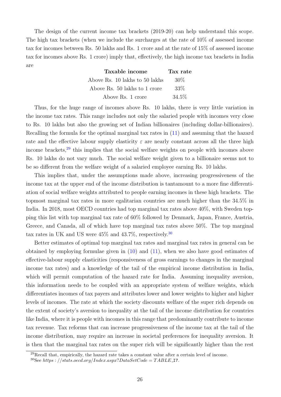The design of the current income tax brackets (2019-20) can help understand this scope. The high tax brackets (when we include the surcharges at the rate of 10% of assessed income tax for incomes between Rs. 50 lakhs and Rs. 1 crore and at the rate of 15% of assessed income tax for incomes above Rs. 1 crore) imply that, effectively, the high income tax brackets in India are

| Taxable income                 | Tax rate |
|--------------------------------|----------|
| Above Rs. 10 lakhs to 50 lakhs | $30\%$   |
| Above Rs. 50 lakhs to 1 crore  | 33\%     |
| Above Rs. 1 crore              | 34.5%    |

Thus, for the huge range of incomes above Rs. 10 lakhs, there is very little variation in the income tax rates. This range includes not only the salaried people with incomes very close to Rs. 10 lakhs but also the growing set of Indian billionaires (including dollar-billionaires). Recalling the formula for the optimal marginal tax rates in [\(11\)](#page-21-1) and assuming that the hazard rate and the effective labour supply elasticity  $\varepsilon$  are nearly constant across all the three high income brackets,<sup>[29](#page-1-0)</sup> this implies that the social welfare weights on people with incomes above Rs. 10 lakhs do not vary much. The social welfare weight given to a billionaire seems not to be so different from the welfare weight of a salaried employee earning Rs. 10 lakhs.

This implies that, under the assumptions made above, increasing progressiveness of the income tax at the upper end of the income distribution is tantamount to a more fine differentiation of social welfare weights attributed to people earning incomes in these high brackets. The topmost marginal tax rates in more egalitarian countries are much higher than the 34.5% in India. In 2018, most OECD countries had top marginal tax rates above 40%, with Sweden topping this list with top marginal tax rate of 60% followed by Denmark, Japan, France, Austria, Greece, and Canada, all of which have top marginal tax rates above 50%. The top marginal tax rates in UK and US were  $45\%$  and  $43.7\%$ , respectively.<sup>[30](#page-1-0)</sup>

Better estimates of optimal top marginal tax rates and marginal tax rates in general can be obtained by employing formulae given in [\(10\)](#page-21-0) and [\(11\)](#page-21-1), when we also have good estimates of effective-labour supply elasticities (responsiveness of gross earnings to changes in the marginal income tax rates) and a knowledge of the tail of the empirical income distribution in India, which will permit computation of the hazard rate for India. Assuming inequality aversion, this information needs to be coupled with an appropriate system of welfare weights, which differentiates incomes of tax payers and attributes lower and lower weights to higher and higher levels of incomes. The rate at which the society discounts welfare of the super rich depends on the extent of society's aversion to inequality at the tail of the income distribution for countries like India, where it is people with incomes in this range that predominantly contribute to income tax revenue. Tax reforms that can increase progressiveness of the income tax at the tail of the income distribution, may require an increase in societal preferences for inequality aversion. It is then that the marginal tax rates on the super rich will be significantly higher than the rest

 $^{29}$ Recall that, empirically, the hazard rate takes a constant value after a certain level of income.

<sup>&</sup>lt;sup>30</sup>See https : //stats.oecd.org/Index.aspx?DataSetCode = TABLE\_I7.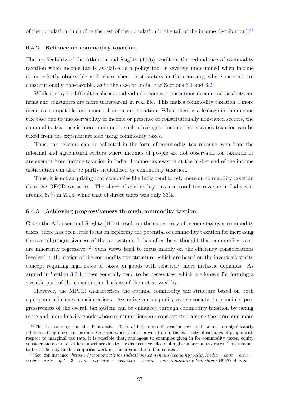of the population (including the rest of the population in the tail of the income distribution).<sup>[31](#page-1-0)</sup>

#### 6.4.2 Reliance on commodity taxation.

The applicability of the Atkinson and Stiglitz (1976) result on the redundance of commodity taxation when income tax is available as a policy tool is severely undermined when income is imperfectly observable and where there exist sectors in the economy, where incomes are constitutionally non-taxable, as in the case of India. See Sections [6.1](#page-24-0) and [6.2.](#page-24-1)

While it may be difficult to observe individual incomes, transactions in commodities between firms and consumers are more transparent in real life. This makes commodity taxation a more incentive compatible instrument than income taxation. While there is a leakage in the income tax base due to unobservability of income or presence of constitutionally non-taxed sectors, the commodity tax base is more immune to such a leakages. Income that escapes taxation can be taxed from the expenditure side using commodity taxes.

Thus, tax revenue can be collected in the form of commodity tax revenue even from the informal and agricultural sectors where incomes of people are not observable for taxation or are exempt from income taxation in India. Income-tax evasion at the higher end of the income distribution can also be partly neutralised by commodity taxation.

Thus, it is not surprising that economies like India tend to rely more on commodity taxation than the OECD countries. The share of commodity taxes in total tax revenue in India was around 67% in 2014, while that of direct taxes was only 33%.

#### 6.4.3 Achieving progressiveness through commodity taxtion.

Given the Atkinson and Stiglitz (1976) result on the superiority of income tax over commodity taxes, there has been little focus on exploring the potential of commodity taxation for increasing the overall progressiveness of the tax system. It has often been thought that commodity taxes are inherently regressive.<sup>[32](#page-1-0)</sup> Such views tend to focus mainly on the efficiency considerations involved in the design of the commodity tax structure, which are based on the inverse-elasticity concept requiring high rates of taxes on goods with relatively more inelastic demands. As argued in Section [3.2.1,](#page-9-0) these generally tend to be necessities, which are known for forming a sizeable part of the consumption baskets of the not so wealthy.

However, the MPRR characterises the optimal commodity tax structure based on both equity and efficiency considerations. Assuming an inequality averse society, in principle, progressiveness of the overall tax system can be enhanced through commodity taxation by taxing more and more heavily goods whose consumptions are concentrated among the more and more

<sup>&</sup>lt;sup>31</sup>This is assuming that the disincentive effects of high rates of taxation are small or not too significantly different at high levels of income. Or, even when there is a variation in the elasticity of earnings of people with respect to marginal tax rate, it is possible that, analogous to examples given in for commodity taxes, equity considerations can offset loss in welfare due to the disincentive effects of higher marginal tax rates. This remains to be verified by further empirical work in this area in the Indian context.

<sup>&</sup>lt;sup>32</sup>See, for instance, https : //economictimes.indiatimes.com/news/economy/policy/india – cant – have –  $single-rate-gst-3-slab-structure-possible-arrival-subramanian/articleshow/64952714.cms.$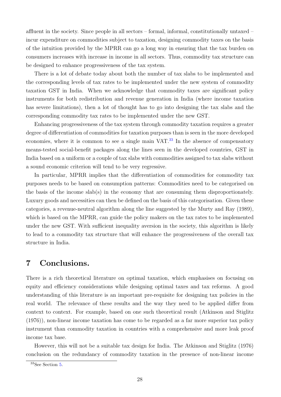affluent in the society. Since people in all sectors – formal, informal, constitutionally untaxed – incur expenditure on commodities subject to taxation, designing commodity taxes on the basis of the intuition provided by the MPRR can go a long way in ensuring that the tax burden on consumers increases with increase in income in all sectors. Thus, commodity tax structure can be designed to enhance progressiveness of the tax system.

There is a lot of debate today about both the number of tax slabs to be implemented and the corresponding levels of tax rates to be implemented under the new system of commodity taxation GST in India. When we acknowledge that commodity taxes are significant policy instruments for both redistribution and revenue generation in India (where income taxation has severe limitations), then a lot of thought has to go into designing the tax slabs and the corresponding commodity tax rates to be implemented under the new GST.

Enhancing progressiveness of the tax system through commodity taxation requires a greater degree of differentiation of commodities for taxation purposes than is seen in the more developed economies, where it is common to see a single main  $VAT$ .<sup>[33](#page-1-0)</sup> In the absence of compensatory means-tested social-benefit packages along the lines seen in the developed countries, GST in India based on a uniform or a couple of tax slabs with commodities assigned to tax slabs without a sound economic criterion will tend to be very regressive.

In particular, MPRR implies that the differentiation of commodities for commodity tax purposes needs to be based on consumption patterns: Commodities need to be categorised on the basis of the income slab(s) in the economy that are consuming them disproportionately. Luxury goods and necessities can then be defined on the basis of this categorisation. Given these categories, a revenue-neutral algorithm along the line suggested by the Murty and Ray (1989), which is based on the MPRR, can guide the policy makers on the tax rates to be implemented under the new GST. With sufficient inequality aversion in the society, this algorithm is likely to lead to a commodity tax structure that will enhance the progressiveness of the overall tax structure in India.

# 7 Conclusions.

There is a rich theoretical literature on optimal taxation, which emphasises on focusing on equity and efficiency considerations while designing optimal taxes and tax reforms. A good understanding of this literature is an important pre-requisite for designing tax policies in the real world. The relevance of these results and the way they need to be applied differ from context to context. For example, based on one such theoretical result (Atkinson and Stiglitz (1976)), non-linear income taxation has come to be regarded as a far more superior tax policy instrument than commodity taxation in countries with a comprehensive and more leak proof income tax base.

However, this will not be a suitable tax design for India. The Atkinson and Stiglitz (1976) conclusion on the redundancy of commodity taxation in the presence of non-linear income

<sup>33</sup>See Section [5.](#page-22-0)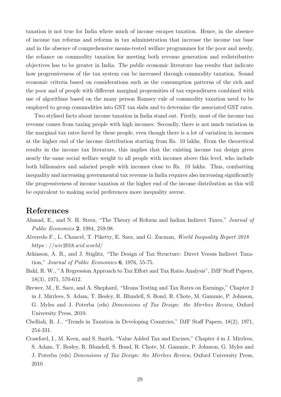taxation is not true for India where much of income escapes taxation. Hence, in the absence of income tax reforms and reforms in tax administration that increase the income tax base and in the absence of comprehensive means-tested welfare programmes for the poor and needy, the reliance on commodity taxation for meeting both revenue generation and redistributive objectives has to be greater in India. The public economic literature has results that indicate how progressiveness of the tax system can be increased through commodity taxation. Sound economic criteria based on considerations such as the consumption patterns of the rich and the poor and of people with different marginal propensities of tax expenditures combined with use of algorithms based on the many person Ramsey rule of commodity taxation need to be employed to group commodities into GST tax slabs and to determine the associated GST rates.

Two stylised facts about income taxation in India stand out. Firstly, most of the income tax revenue comes from taxing people with high incomes. Secondly, there is not much variation in the marginal tax rates faced by these people, even though there is a lot of variation in incomes at the higher end of the income distribution starting from Rs. 10 lakhs. From the theoretical results in the income tax literature, this implies that the existing income tax design gives nearly the same social welfare weight to all people with incomes above this level, who include both billionaires and salaried people with incomes close to Rs. 10 lakhs. Thus, combatting inequality and increasing governmental tax revenue in India requires also increasing significantly the progressiveness of income taxation at the higher end of the income distribution as this will be equivalent to making social preferences more inequality averse.

## References

- Ahmad, E., and N. H. Stern, "The Theory of Reform and Indian Indirect Taxes," Journal of Public Economics 2, 1984, 259-98.
- Alveredo F., L. Chancel, T. Piketty, E. Saez, and G. Zucman, World Inequality Report 2018 https : //wir2018.wid.world/
- Atkinson, A. B., and J. Stiglitz, "The Design of Tax Structure: Direct Versus Indirect Taxation," Journal of Public Economics 6, 1976, 55-75.
- Bahl, R. W., "A Regression Approach to Tax Effort and Tax Ratio Analysis", IMF Staff Papers, 18(3), 1971, 570-612.
- Brewer, M., E. Saez, and A. Shephard, "Means Testing and Tax Rates on Earnings," Chapter 2 in J. Mirrlees, S. Adam, T. Besley, R. Blundell, S. Bond, R. Chote, M. Gammie, P. Johnson, G. Myles and J. Poterba (eds) Dimensions of Tax Design: the Mirrlees Review, Oxford University Press, 2010.
- Chelliah, R. J., "Trends in Taxation in Developing Countries," IMF Staff Papers, 18(2), 1971, 254-331.
- Crawford, I., M. Keen, and S. Smith, "Value Added Tax and Excises," Chapter 4 in J. Mirrlees, S. Adam, T. Besley, R. Blundell, S. Bond, R. Chote, M. Gammie, P. Johnson, G. Myles and J. Poterba (eds) Dimensions of Tax Design: the Mirrlees Review, Oxford University Press, 2010.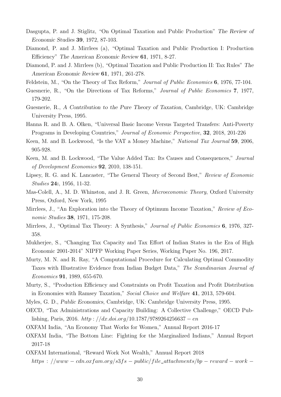- Dasgupta, P. and J. Stiglitz, "On Optimal Taxation and Public Production" The Review of Economic Studies 39, 1972, 87-103.
- Diamond, P. and J. Mirrlees (a), "Optimal Taxation and Public Production I: Production Efficiency" The American Economic Review 61, 1971, 8-27.
- Diamond, P. and J. Mirrlees (b), "Optimal Taxation and Public Production II: Tax Rules" The American Economic Review 61, 1971, 261-278.
- Feldstein, M., "On the Theory of Tax Reform," Journal of Public Economics 6, 1976, 77-104.
- Guesnerie, R., "On the Directions of Tax Reforms," Journal of Public Economics 7, 1977, 179-202.
- Guesnerie, R., A Contribution to the Pure Theory of Taxation, Cambridge, UK: Cambridge University Press, 1995.
- Hanna R. and B. A. Olken, "Universal Basic Income Versus Targeted Transfers: Anti-Poverty Programs in Developing Countries," Journal of Economic Perspective, 32, 2018, 201-226
- Keen, M. and B. Lockwood, "Is the VAT a Money Machine," National Tax Journal 59, 2006, 905-928.
- Keen, M. and B. Lockwood, "The Value Added Tax: Its Causes and Consequences," Journal of Development Economics 92, 2010, 138-151.
- Lipsey, R. G. and K. Lancaster, "The General Theory of Second Best," Review of Economic Studies 24:, 1956, 11-32.
- Mas-Colell, A., M. D. Whinston, and J. R. Green, *Microeconomic Theory*, Oxford University Press, Oxford, New York, 1995
- Mirrlees, J., "An Exploration into the Theory of Optimum Income Taxation," Review of Economic Studies 38, 1971, 175-208.
- Mirrlees, J., "Optimal Tax Theory: A Synthesis," *Journal of Public Economics* 6, 1976, 327-358.
- Mukherjee, S., "Changing Tax Capacity and Tax Effort of Indian States in the Era of High Economic 2001-2014" NIPFP Working Paper Series, Working Paper No. 196, 2017.
- Murty, M. N. and R. Ray, "A Computational Procedure for Calculating Optimal Commodity Taxes with Illustrative Evidence from Indian Budget Data," The Scandinavian Journal of Economics 91, 1989, 655-670.
- Murty, S., "Production Efficiency and Constraints on Profit Taxation and Profit Distribution in Economies with Ramsey Taxation," Social Choice and Welfare 41, 2013, 579-604.
- Myles, G. D., Public Economics, Cambridge, UK: Cambridge University Press, 1995.
- OECD, "Tax Administrations and Capacity Building: A Collective Challenge," OECD Publishing, Paris, 2016. http://dx.doi.org/10.1787/9789264256637 – en
- OXFAM India, "An Economy That Works for Women," Annual Report 2016-17
- OXFAM India, "The Bottom Line: Fighting for the Marginalized Indians," Annual Report 2017-18
- OXFAM International, "Reward Work Not Wealth," Annual Report 2018 https : //www – cdn.oxfam.org/s3fs – public/file\_attachments/bp – reward – work –